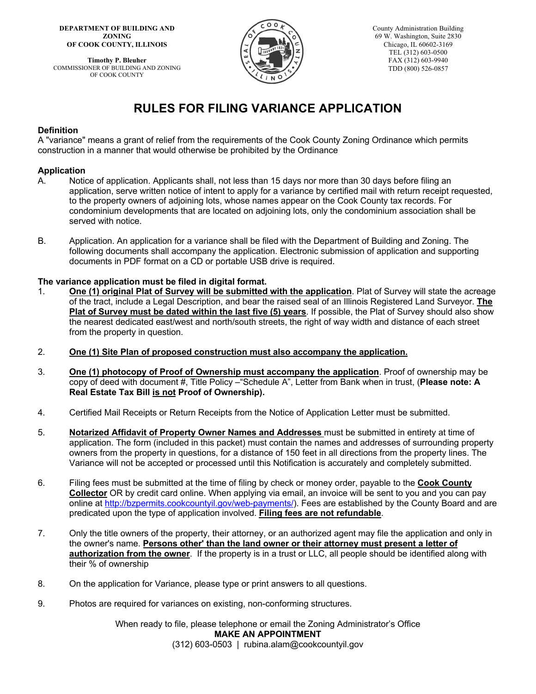**DEPARTMENT OF BUILDING AND ZONING OF COOK COUNTY, ILLINOIS**

**Timothy P. Bleuher** COMMISSIONER OF BUILDING AND ZONING OF COOK COUNTY



County Administration Building 69 W. Washington, Suite 2830 Chicago, IL 60602-3169 TEL (312) 603-0500 FAX (312) 603-9940 TDD (800) 526-0857

## **RULES FOR FILING VARIANCE APPLICATION**

#### **Definition**

A "variance" means a grant of relief from the requirements of the Cook County Zoning Ordinance which permits construction in a manner that would otherwise be prohibited by the Ordinance

#### **Application**

- A. Notice of application. Applicants shall, not less than 15 days nor more than 30 days before filing an application, serve written notice of intent to apply for a variance by certified mail with return receipt requested, to the property owners of adjoining lots, whose names appear on the Cook County tax records. For condominium developments that are located on adjoining lots, only the condominium association shall be served with notice.
- B. Application. An application for a variance shall be filed with the Department of Building and Zoning. The following documents shall accompany the application. Electronic submission of application and supporting documents in PDF format on a CD or portable USB drive is required.

#### **The variance application must be filed in digital format.**

- 1. **One (1) original Plat of Survey will be submitted with the application**. Plat of Survey will state the acreage of the tract, include a Legal Description, and bear the raised seal of an Illinois Registered Land Surveyor. **The Plat of Survey must be dated within the last five (5) years**. If possible, the Plat of Survey should also show the nearest dedicated east/west and north/south streets, the right of way width and distance of each street from the property in question.
- 2. **One (1) Site Plan of proposed construction must also accompany the application.**
- 3. **One (1) photocopy of Proof of Ownership must accompany the application**. Proof of ownership may be copy of deed with document #, Title Policy –"Schedule A", Letter from Bank when in trust, (**Please note: A Real Estate Tax Bill is not Proof of Ownership).**
- 4. Certified Mail Receipts or Return Receipts from the Notice of Application Letter must be submitted.
- 5. **Notarized Affidavit of Property Owner Names and Addresses** must be submitted in entirety at time of application. The form (included in this packet) must contain the names and addresses of surrounding property owners from the property in questions, for a distance of 150 feet in all directions from the property lines. The Variance will not be accepted or processed until this Notification is accurately and completely submitted.
- 6. Filing fees must be submitted at the time of filing by check or money order, payable to the **Cook County Collector** OR by credit card online. When applying via email, an invoice will be sent to you and you can pay online at http://bzpermits.cookcountyil.gov/web-payments/). Fees are established by the County Board and are predicated upon the type of application involved. **Filing fees are not refundable**.
- 7. Only the title owners of the property, their attorney, or an authorized agent may file the application and only in the owner's name. **Persons other' than the land owner or their attorney must present a letter of authorization from the owner**. If the property is in a trust or LLC, all people should be identified along with their % of ownership
- 8. On the application for Variance, please type or print answers to all questions.
- 9. Photos are required for variances on existing, non-conforming structures.

When ready to file, please telephone or email the Zoning Administrator's Office **MAKE AN APPOINTMENT** (312) 603-0503 | rubina.alam@cookcountyil.gov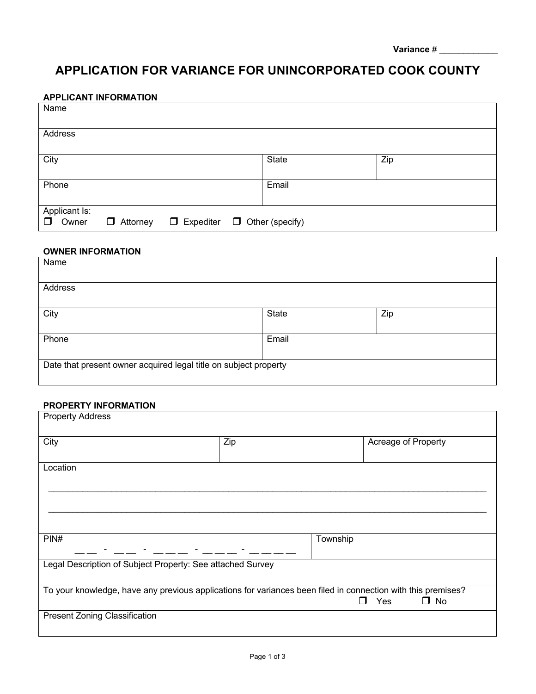| <b>Variance</b> # |  |
|-------------------|--|
|                   |  |

## **APPLICATION FOR VARIANCE FOR UNINCORPORATED COOK COUNTY**

## **APPLICANT INFORMATION**

| Name            |                 |                                         |              |     |
|-----------------|-----------------|-----------------------------------------|--------------|-----|
| Address         |                 |                                         |              |     |
| City            |                 |                                         | <b>State</b> | Zip |
| Phone           |                 |                                         | Email        |     |
| Applicant Is:   |                 |                                         |              |     |
| $\Box$<br>Owner | $\Box$ Attorney | $\Box$ Expediter $\Box$ Other (specify) |              |     |

## **OWNER INFORMATION**

| Name                                                             |              |     |  |
|------------------------------------------------------------------|--------------|-----|--|
| Address                                                          |              |     |  |
| City                                                             | <b>State</b> | Zip |  |
| Phone                                                            | Email        |     |  |
| Date that present owner acquired legal title on subject property |              |     |  |

#### **PROPERTY INFORMATION**

| <b>Property Address</b>                                                                                      |     |                            |
|--------------------------------------------------------------------------------------------------------------|-----|----------------------------|
| City                                                                                                         | Zip | Acreage of Property        |
| Location                                                                                                     |     |                            |
|                                                                                                              |     |                            |
| PIN#                                                                                                         |     | Township                   |
| Legal Description of Subject Property: See attached Survey                                                   |     |                            |
| To your knowledge, have any previous applications for variances been filed in connection with this premises? |     | Yes<br>$\Box$ No<br>$\Box$ |
| <b>Present Zoning Classification</b>                                                                         |     |                            |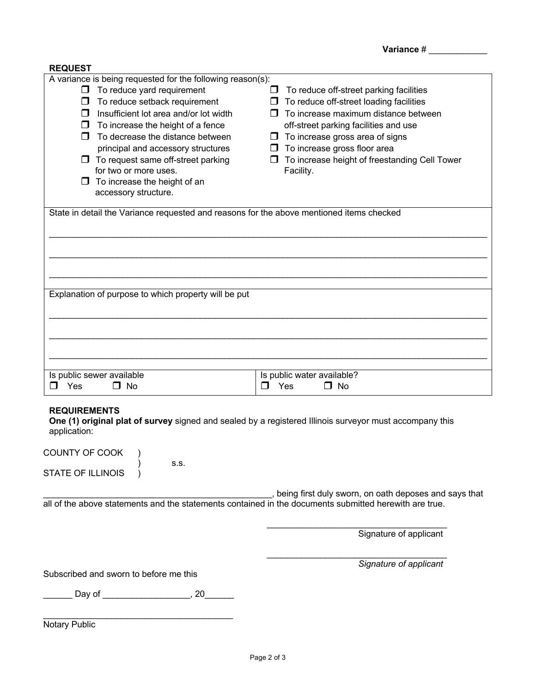| <b>REQUEST</b>                                                                                                                                                                                                                                                                                                                                                                                                                                              |                                                                                                                                                                                                                                                                                                                                            |
|-------------------------------------------------------------------------------------------------------------------------------------------------------------------------------------------------------------------------------------------------------------------------------------------------------------------------------------------------------------------------------------------------------------------------------------------------------------|--------------------------------------------------------------------------------------------------------------------------------------------------------------------------------------------------------------------------------------------------------------------------------------------------------------------------------------------|
| A variance is being requested for the following reason(s):<br>To reduce yard requirement<br>◡<br>To reduce setback requirement<br>$\Box$<br>$\Box$ Insufficient lot area and/or lot width<br>$\Box$ To increase the height of a fence<br>$\Box$ To decrease the distance between<br>principal and accessory structures<br>$\Box$ To request same off-street parking<br>for two or more uses.<br>$\Box$ To increase the height of an<br>accessory structure. | To reduce off-street parking facilities<br>ப<br>$\Box$ To reduce off-street loading facilities<br>$\Box$ To increase maximum distance between<br>off-street parking facilities and use<br>$\Box$ To increase gross area of signs<br>$\Box$ To increase gross floor area<br>To increase height of freestanding Cell Tower<br>ப<br>Facility. |
| State in detail the Variance requested and reasons for the above mentioned items checked                                                                                                                                                                                                                                                                                                                                                                    |                                                                                                                                                                                                                                                                                                                                            |
|                                                                                                                                                                                                                                                                                                                                                                                                                                                             |                                                                                                                                                                                                                                                                                                                                            |
|                                                                                                                                                                                                                                                                                                                                                                                                                                                             |                                                                                                                                                                                                                                                                                                                                            |
| Explanation of purpose to which property will be put                                                                                                                                                                                                                                                                                                                                                                                                        |                                                                                                                                                                                                                                                                                                                                            |
|                                                                                                                                                                                                                                                                                                                                                                                                                                                             |                                                                                                                                                                                                                                                                                                                                            |
|                                                                                                                                                                                                                                                                                                                                                                                                                                                             |                                                                                                                                                                                                                                                                                                                                            |
| Is public sewer available<br>Yes<br>$\Box$ No<br>П                                                                                                                                                                                                                                                                                                                                                                                                          | Is public water available?<br>Yes<br>$\Box$ No<br>$\Box$                                                                                                                                                                                                                                                                                   |
| <b>REQUIREMENTS</b><br>One (1) original plat of survey signed and sealed by a registered Illinois surveyor must accompany this<br>application:                                                                                                                                                                                                                                                                                                              |                                                                                                                                                                                                                                                                                                                                            |
| COUNTY OF COOK<br>S.S.                                                                                                                                                                                                                                                                                                                                                                                                                                      |                                                                                                                                                                                                                                                                                                                                            |
| <b>STATE OF ILLINOIS</b>                                                                                                                                                                                                                                                                                                                                                                                                                                    |                                                                                                                                                                                                                                                                                                                                            |
| all of the above statements and the statements contained in the documents submitted herewith are true.                                                                                                                                                                                                                                                                                                                                                      | , being first duly sworn, on oath deposes and says that                                                                                                                                                                                                                                                                                    |
|                                                                                                                                                                                                                                                                                                                                                                                                                                                             | Signature of applicant                                                                                                                                                                                                                                                                                                                     |
| Subscribed and sworn to before me this                                                                                                                                                                                                                                                                                                                                                                                                                      | Signature of applicant                                                                                                                                                                                                                                                                                                                     |
|                                                                                                                                                                                                                                                                                                                                                                                                                                                             |                                                                                                                                                                                                                                                                                                                                            |
| Notary Public                                                                                                                                                                                                                                                                                                                                                                                                                                               |                                                                                                                                                                                                                                                                                                                                            |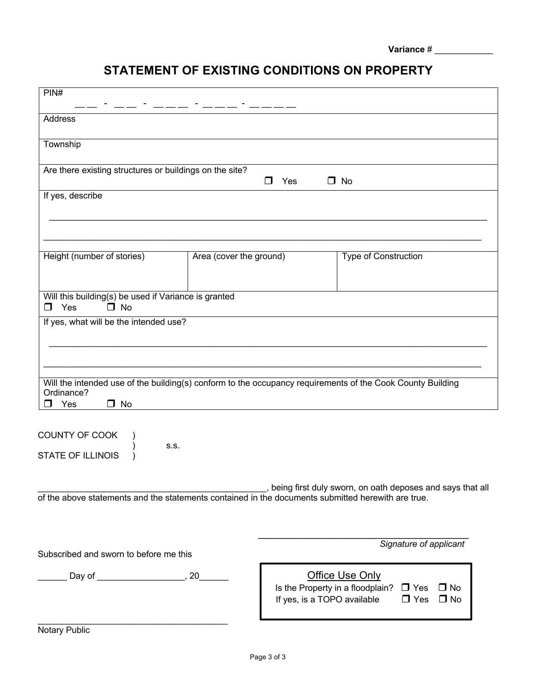| <b>Variance</b> # |  |
|-------------------|--|
|                   |  |

# **STATEMENT OF EXISTING CONDITIONS ON PROPERTY**

| PIN#                                                                                               |                                                                                                                       |
|----------------------------------------------------------------------------------------------------|-----------------------------------------------------------------------------------------------------------------------|
| Address                                                                                            |                                                                                                                       |
| Township                                                                                           |                                                                                                                       |
| Are there existing structures or buildings on the site?                                            | $\Box$ No<br>$\Box$<br>Yes                                                                                            |
| If yes, describe                                                                                   |                                                                                                                       |
|                                                                                                    |                                                                                                                       |
| Height (number of stories)<br>Area (cover the ground)                                              | Type of Construction                                                                                                  |
| Will this building(s) be used if Variance is granted<br>Yes<br>$\Box$ No<br>$\Box$                 |                                                                                                                       |
| If yes, what will be the intended use?                                                             |                                                                                                                       |
|                                                                                                    |                                                                                                                       |
| Ordinance?<br>Yes<br>$\Box$ No<br>- 1                                                              | Will the intended use of the building(s) conform to the occupancy requirements of the Cook County Building            |
| COUNTY OF COOK<br>S.S.<br><b>STATE OF ILLINOIS</b>                                                 |                                                                                                                       |
| of the above statements and the statements contained in the documents submitted herewith are true. | , being first duly sworn, on oath deposes and says that all                                                           |
|                                                                                                    | Signature of applicant                                                                                                |
| Subscribed and sworn to before me this                                                             | <b>Office Use Only</b>                                                                                                |
|                                                                                                    | Is the Property in a floodplain? $\Box$ Yes<br>$\Box$ No<br>If yes, is a TOPO available<br>$\Box$ Yes<br>$\square$ No |
| Notary Public                                                                                      |                                                                                                                       |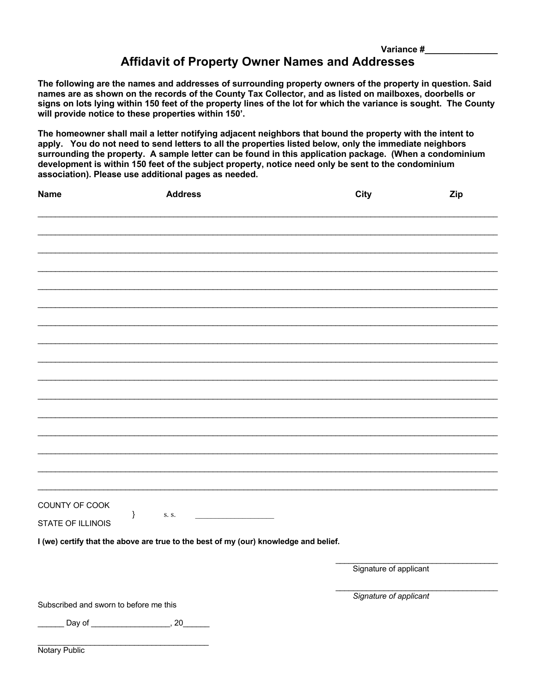## **Variance #\_\_\_\_\_\_\_\_\_\_\_\_\_\_\_ Affidavit of Property Owner Names and Addresses**

**The following are the names and addresses of surrounding property owners of the property in question. Said names are as shown on the records of the County Tax Collector, and as listed on mailboxes, doorbells or signs on lots lying within 150 feet of the property lines of the lot for which the variance is sought. The County will provide notice to these properties within 150'.**

**The homeowner shall mail a letter notifying adjacent neighbors that bound the property with the intent to apply. You do not need to send letters to all the properties listed below, only the immediate neighbors surrounding the property. A sample letter can be found in this application package. (When a condominium development is within 150 feet of the subject property, notice need only be sent to the condominium association). Please use additional pages as needed.** 

| <b>Name</b>                            | <b>Address</b>                                                                       | <b>City</b>            | <b>Zip</b> |
|----------------------------------------|--------------------------------------------------------------------------------------|------------------------|------------|
|                                        |                                                                                      |                        |            |
|                                        |                                                                                      |                        |            |
|                                        |                                                                                      |                        |            |
|                                        |                                                                                      |                        |            |
|                                        |                                                                                      |                        |            |
|                                        |                                                                                      |                        |            |
|                                        |                                                                                      |                        |            |
|                                        |                                                                                      |                        |            |
|                                        |                                                                                      |                        |            |
|                                        |                                                                                      |                        |            |
|                                        |                                                                                      |                        |            |
|                                        |                                                                                      |                        |            |
|                                        |                                                                                      |                        |            |
| COUNTY OF COOK                         |                                                                                      |                        |            |
| }<br>STATE OF ILLINOIS                 | S. S.                                                                                |                        |            |
|                                        | I (we) certify that the above are true to the best of my (our) knowledge and belief. |                        |            |
|                                        |                                                                                      | Signature of applicant |            |
|                                        |                                                                                      |                        |            |
| Subscribed and sworn to before me this |                                                                                      | Signature of applicant |            |
|                                        |                                                                                      |                        |            |
| Notary Public                          |                                                                                      |                        |            |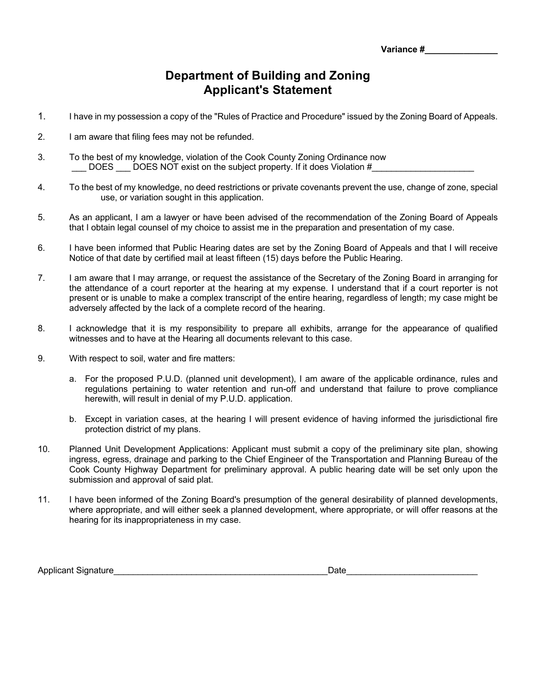**Variance #\_\_\_\_\_\_\_\_\_\_\_\_\_** 

## **Department of Building and Zoning Applicant's Statement**

- 1. I have in my possession a copy of the "Rules of Practice and Procedure" issued by the Zoning Board of Appeals.
- 2. I am aware that filing fees may not be refunded.
- 3. To the best of my knowledge, violation of the Cook County Zoning Ordinance now DOES DOES NOT exist on the subject property. If it does Violation #
- 4. To the best of my knowledge, no deed restrictions or private covenants prevent the use, change of zone, special use, or variation sought in this application.
- 5. As an applicant, I am a lawyer or have been advised of the recommendation of the Zoning Board of Appeals that I obtain legal counsel of my choice to assist me in the preparation and presentation of my case.
- 6. I have been informed that Public Hearing dates are set by the Zoning Board of Appeals and that I will receive Notice of that date by certified mail at least fifteen (15) days before the Public Hearing.
- 7. I am aware that I may arrange, or request the assistance of the Secretary of the Zoning Board in arranging for the attendance of a court reporter at the hearing at my expense. I understand that if a court reporter is not present or is unable to make a complex transcript of the entire hearing, regardless of length; my case might be adversely affected by the lack of a complete record of the hearing.
- 8. I acknowledge that it is my responsibility to prepare all exhibits, arrange for the appearance of qualified witnesses and to have at the Hearing all documents relevant to this case.
- 9. With respect to soil, water and fire matters:
	- a. For the proposed P.U.D. (planned unit development), I am aware of the applicable ordinance, rules and regulations pertaining to water retention and run-off and understand that failure to prove compliance herewith, will result in denial of my P.U.D. application.
	- b. Except in variation cases, at the hearing I will present evidence of having informed the jurisdictional fire protection district of my plans.
- 10. Planned Unit Development Applications: Applicant must submit a copy of the preliminary site plan, showing ingress, egress, drainage and parking to the Chief Engineer of the Transportation and Planning Bureau of the Cook County Highway Department for preliminary approval. A public hearing date will be set only upon the submission and approval of said plat.
- 11. I have been informed of the Zoning Board's presumption of the general desirability of planned developments, where appropriate, and will either seek a planned development, where appropriate, or will offer reasons at the hearing for its inappropriateness in my case.

Applicant Signature **Alternative Security Security Contract Contract Contract Contract Contract Contract Contract Contract Contract Contract Contract Contract Contract Contract Contract Contract Contract Contract Contract**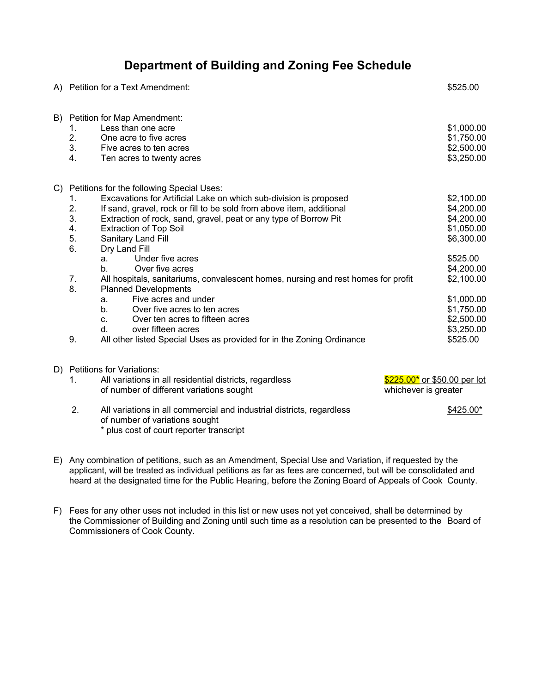## **Department of Building and Zoning Fee Schedule**

|    |                                                    | A) Petition for a Text Amendment:                                                                                                                                                                                                                                                                                                                                                                                                                                                                                                                                                                                                                                                                                                                             | \$525.00                                                                                                                                                                       |
|----|----------------------------------------------------|---------------------------------------------------------------------------------------------------------------------------------------------------------------------------------------------------------------------------------------------------------------------------------------------------------------------------------------------------------------------------------------------------------------------------------------------------------------------------------------------------------------------------------------------------------------------------------------------------------------------------------------------------------------------------------------------------------------------------------------------------------------|--------------------------------------------------------------------------------------------------------------------------------------------------------------------------------|
| B) | 1.<br>2.<br>3.<br>4.                               | Petition for Map Amendment:<br>Less than one acre<br>One acre to five acres<br>Five acres to ten acres<br>Ten acres to twenty acres                                                                                                                                                                                                                                                                                                                                                                                                                                                                                                                                                                                                                           | \$1,000.00<br>\$1,750.00<br>\$2,500.00<br>\$3,250.00                                                                                                                           |
|    | 1.<br>2.<br>3.<br>4.<br>5.<br>6.<br>7.<br>8.<br>9. | C) Petitions for the following Special Uses:<br>Excavations for Artificial Lake on which sub-division is proposed<br>If sand, gravel, rock or fill to be sold from above item, additional<br>Extraction of rock, sand, gravel, peat or any type of Borrow Pit<br><b>Extraction of Top Soil</b><br>Sanitary Land Fill<br>Dry Land Fill<br>Under five acres<br>a.<br>Over five acres<br>$h_{\cdot}$<br>All hospitals, sanitariums, convalescent homes, nursing and rest homes for profit<br><b>Planned Developments</b><br>Five acres and under<br>a.<br>Over five acres to ten acres<br>$h_{-}$<br>Over ten acres to fifteen acres<br>C <sub>1</sub><br>over fifteen acres<br>$d_{-}$<br>All other listed Special Uses as provided for in the Zoning Ordinance | \$2,100.00<br>\$4,200.00<br>\$4,200.00<br>\$1,050.00<br>\$6,300.00<br>\$525.00<br>\$4,200.00<br>\$2,100.00<br>\$1,000.00<br>\$1,750.00<br>\$2,500.00<br>\$3,250.00<br>\$525.00 |
|    | 1.<br>2.                                           | D) Petitions for Variations:<br>All variations in all residential districts, regardless<br>\$225.00* or \$50.00 per lot<br>of number of different variations sought<br>whichever is greater<br>All variations in all commercial and industrial districts, regardless                                                                                                                                                                                                                                                                                                                                                                                                                                                                                          | \$425.00*                                                                                                                                                                      |
|    |                                                    | of number of variations sought<br>* plus cost of court reporter transcript                                                                                                                                                                                                                                                                                                                                                                                                                                                                                                                                                                                                                                                                                    |                                                                                                                                                                                |

E) Any combination of petitions, such as an Amendment, Special Use and Variation, if requested by the applicant, will be treated as individual petitions as far as fees are concerned, but will be consolidated and heard at the designated time for the Public Hearing, before the Zoning Board of Appeals of Cook County.

F) Fees for any other uses not included in this list or new uses not yet conceived, shall be determined by the Commissioner of Building and Zoning until such time as a resolution can be presented to the Board of Commissioners of Cook County.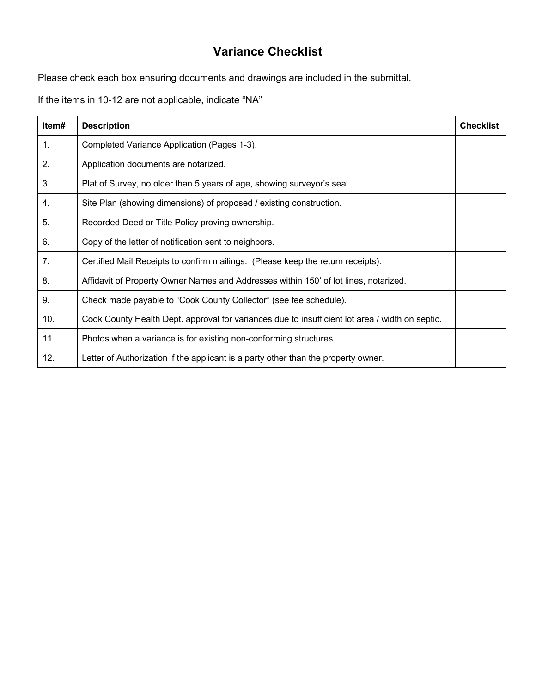# **Variance Checklist**

Please check each box ensuring documents and drawings are included in the submittal.

If the items in 10-12 are not applicable, indicate "NA"

| Item# | <b>Description</b>                                                                              | <b>Checklist</b> |
|-------|-------------------------------------------------------------------------------------------------|------------------|
| 1.    | Completed Variance Application (Pages 1-3).                                                     |                  |
| 2.    | Application documents are notarized.                                                            |                  |
| 3.    | Plat of Survey, no older than 5 years of age, showing surveyor's seal.                          |                  |
| 4.    | Site Plan (showing dimensions) of proposed / existing construction.                             |                  |
| 5.    | Recorded Deed or Title Policy proving ownership.                                                |                  |
| 6.    | Copy of the letter of notification sent to neighbors.                                           |                  |
| 7.    | Certified Mail Receipts to confirm mailings. (Please keep the return receipts).                 |                  |
| 8.    | Affidavit of Property Owner Names and Addresses within 150' of lot lines, notarized.            |                  |
| 9.    | Check made payable to "Cook County Collector" (see fee schedule).                               |                  |
| 10.   | Cook County Health Dept. approval for variances due to insufficient lot area / width on septic. |                  |
| 11.   | Photos when a variance is for existing non-conforming structures.                               |                  |
| 12.   | Letter of Authorization if the applicant is a party other than the property owner.              |                  |